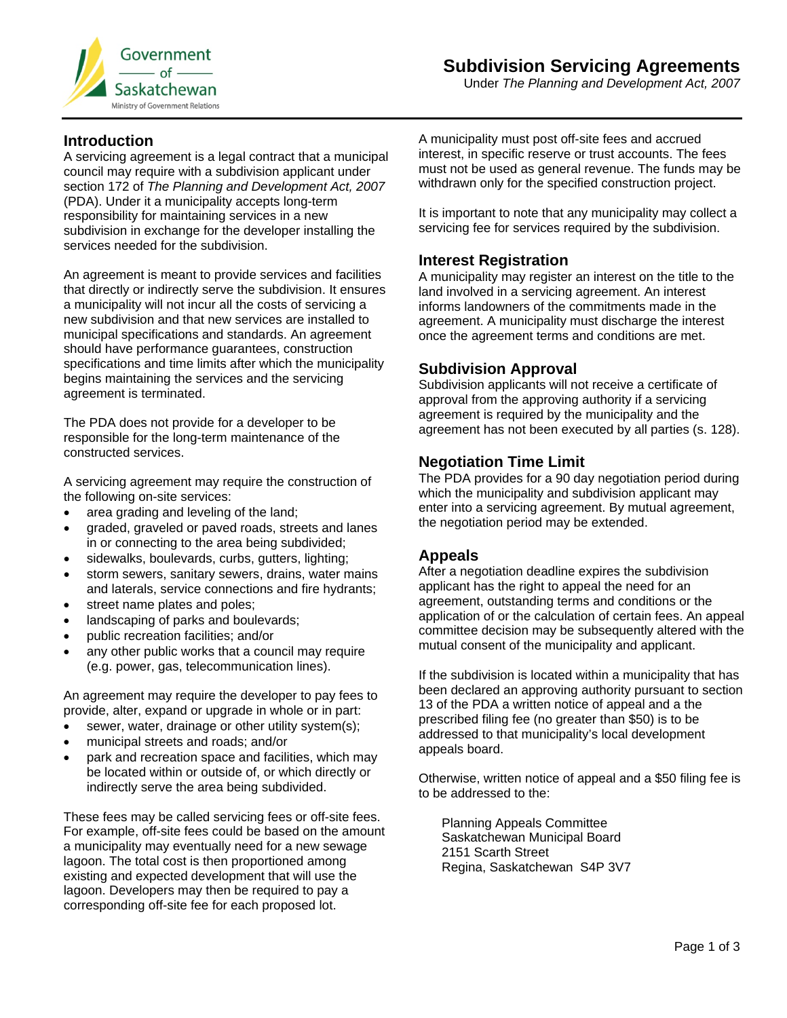

Under *The Planning and Development Act, 2007* 

## **Introduction**

A servicing agreement is a legal contract that a municipal council may require with a subdivision applicant under section 172 of *The Planning and Development Act, 2007*  (PDA). Under it a municipality accepts long-term responsibility for maintaining services in a new subdivision in exchange for the developer installing the services needed for the subdivision.

An agreement is meant to provide services and facilities that directly or indirectly serve the subdivision. It ensures a municipality will not incur all the costs of servicing a new subdivision and that new services are installed to municipal specifications and standards. An agreement should have performance guarantees, construction specifications and time limits after which the municipality begins maintaining the services and the servicing agreement is terminated.

The PDA does not provide for a developer to be responsible for the long-term maintenance of the constructed services.

A servicing agreement may require the construction of the following on-site services:

- area grading and leveling of the land;
- graded, graveled or paved roads, streets and lanes in or connecting to the area being subdivided;
- sidewalks, boulevards, curbs, gutters, lighting;
- storm sewers, sanitary sewers, drains, water mains and laterals, service connections and fire hydrants;
- street name plates and poles;
- landscaping of parks and boulevards;
- public recreation facilities; and/or
- any other public works that a council may require (e.g. power, gas, telecommunication lines).

An agreement may require the developer to pay fees to provide, alter, expand or upgrade in whole or in part:

- sewer, water, drainage or other utility system(s);
- municipal streets and roads; and/or
- park and recreation space and facilities, which may be located within or outside of, or which directly or indirectly serve the area being subdivided.

These fees may be called servicing fees or off-site fees. For example, off-site fees could be based on the amount a municipality may eventually need for a new sewage lagoon. The total cost is then proportioned among existing and expected development that will use the lagoon. Developers may then be required to pay a corresponding off-site fee for each proposed lot.

A municipality must post off-site fees and accrued interest, in specific reserve or trust accounts. The fees must not be used as general revenue. The funds may be withdrawn only for the specified construction project.

It is important to note that any municipality may collect a servicing fee for services required by the subdivision.

### **Interest Registration**

A municipality may register an interest on the title to the land involved in a servicing agreement. An interest informs landowners of the commitments made in the agreement. A municipality must discharge the interest once the agreement terms and conditions are met.

### **Subdivision Approval**

Subdivision applicants will not receive a certificate of approval from the approving authority if a servicing agreement is required by the municipality and the agreement has not been executed by all parties (s. 128).

### **Negotiation Time Limit**

The PDA provides for a 90 day negotiation period during which the municipality and subdivision applicant may enter into a servicing agreement. By mutual agreement, the negotiation period may be extended.

#### **Appeals**

After a negotiation deadline expires the subdivision applicant has the right to appeal the need for an agreement, outstanding terms and conditions or the application of or the calculation of certain fees. An appeal committee decision may be subsequently altered with the mutual consent of the municipality and applicant.

If the subdivision is located within a municipality that has been declared an approving authority pursuant to section 13 of the PDA a written notice of appeal and a the prescribed filing fee (no greater than \$50) is to be addressed to that municipality's local development appeals board.

Otherwise, written notice of appeal and a \$50 filing fee is to be addressed to the:

Planning Appeals Committee Saskatchewan Municipal Board 2151 Scarth Street Regina, Saskatchewan S4P 3V7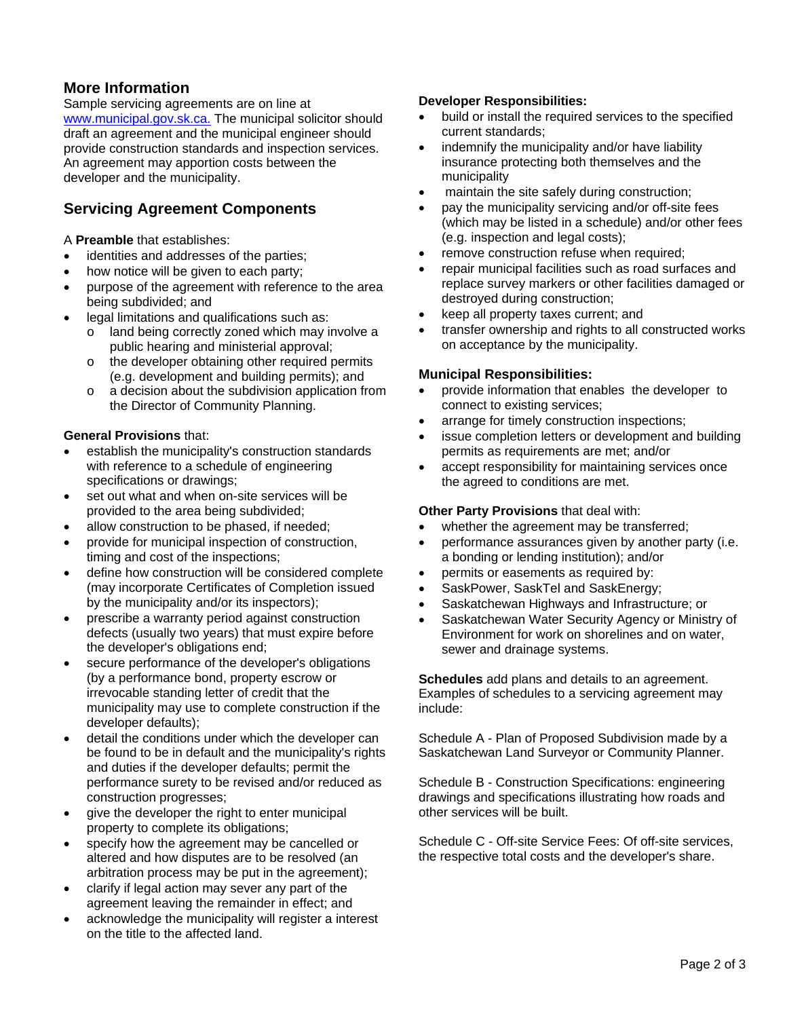# **More Information**

Sample servicing agreements are on line at www.municipal.gov.sk.ca. The municipal solicitor should draft an agreement and the municipal engineer should provide construction standards and inspection services. An agreement may apportion costs between the developer and the municipality.

# **Servicing Agreement Components**

A **Preamble** that establishes:

- identities and addresses of the parties;
- how notice will be given to each party;
- purpose of the agreement with reference to the area being subdivided; and
- legal limitations and qualifications such as:
	- o land being correctly zoned which may involve a public hearing and ministerial approval;
		- o the developer obtaining other required permits (e.g. development and building permits); and
	- o a decision about the subdivision application from the Director of Community Planning.

### **General Provisions** that:

- establish the municipality's construction standards with reference to a schedule of engineering specifications or drawings;
- set out what and when on-site services will be provided to the area being subdivided;
- allow construction to be phased, if needed;
- provide for municipal inspection of construction, timing and cost of the inspections;
- define how construction will be considered complete (may incorporate Certificates of Completion issued by the municipality and/or its inspectors);
- prescribe a warranty period against construction defects (usually two years) that must expire before the developer's obligations end;
- secure performance of the developer's obligations (by a performance bond, property escrow or irrevocable standing letter of credit that the municipality may use to complete construction if the developer defaults);
- detail the conditions under which the developer can be found to be in default and the municipality's rights and duties if the developer defaults; permit the performance surety to be revised and/or reduced as construction progresses;
- give the developer the right to enter municipal property to complete its obligations;
- specify how the agreement may be cancelled or altered and how disputes are to be resolved (an arbitration process may be put in the agreement);
- clarify if legal action may sever any part of the agreement leaving the remainder in effect; and
- acknowledge the municipality will register a interest on the title to the affected land.

#### **Developer Responsibilities:**

- build or install the required services to the specified current standards;
- indemnify the municipality and/or have liability insurance protecting both themselves and the municipality
- maintain the site safely during construction;
- pay the municipality servicing and/or off-site fees (which may be listed in a schedule) and/or other fees (e.g. inspection and legal costs);
- **•** remove construction refuse when required;
- repair municipal facilities such as road surfaces and replace survey markers or other facilities damaged or destroyed during construction;
- keep all property taxes current; and
- transfer ownership and rights to all constructed works on acceptance by the municipality.

### **Municipal Responsibilities:**

- provide information that enables the developer to connect to existing services;
- arrange for timely construction inspections;
- issue completion letters or development and building permits as requirements are met; and/or
- accept responsibility for maintaining services once the agreed to conditions are met.

#### **Other Party Provisions** that deal with:

- whether the agreement may be transferred;
- performance assurances given by another party (i.e. a bonding or lending institution); and/or
- permits or easements as required by:
- SaskPower, SaskTel and SaskEnergy;
- Saskatchewan Highways and Infrastructure; or
- Saskatchewan Water Security Agency or Ministry of Environment for work on shorelines and on water, sewer and drainage systems.

**Schedules** add plans and details to an agreement. Examples of schedules to a servicing agreement may include:

Schedule A - Plan of Proposed Subdivision made by a Saskatchewan Land Surveyor or Community Planner.

Schedule B - Construction Specifications: engineering drawings and specifications illustrating how roads and other services will be built.

Schedule C - Off-site Service Fees: Of off-site services, the respective total costs and the developer's share.